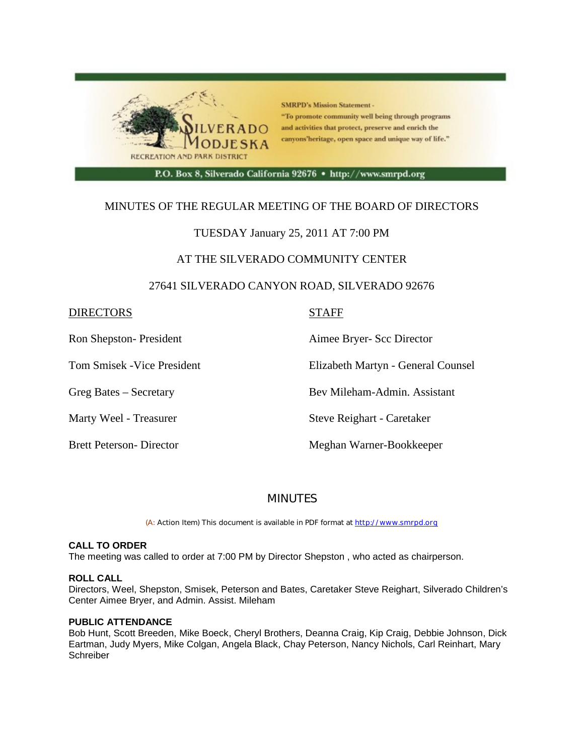

# MINUTES OF THE REGULAR MEETING OF THE BOARD OF DIRECTORS

# TUESDAY January 25, 2011 AT 7:00 PM

## AT THE SILVERADO COMMUNITY CENTER

## 27641 SILVERADO CANYON ROAD, SILVERADO 92676

## DIRECTORS STAFF

Ron Shepston- President Aimee Bryer- Scc Director

Tom Smisek -Vice President Elizabeth Martyn - General Counsel

Greg Bates – Secretary Bev Mileham-Admin. Assistant

Marty Weel - Treasurer Steve Reighart - Caretaker

Brett Peterson- Director Meghan Warner-Bookkeeper

## **MINUTES**

(A: Action Item) This document is available in PDF format at http://www.smrpd.org

### **CALL TO ORDER**

The meeting was called to order at 7:00 PM by Director Shepston , who acted as chairperson.

### **ROLL CALL**

Directors, Weel, Shepston, Smisek, Peterson and Bates, Caretaker Steve Reighart, Silverado Children's Center Aimee Bryer, and Admin. Assist. Mileham

### **PUBLIC ATTENDANCE**

Bob Hunt, Scott Breeden, Mike Boeck, Cheryl Brothers, Deanna Craig, Kip Craig, Debbie Johnson, Dick Eartman, Judy Myers, Mike Colgan, Angela Black, Chay Peterson, Nancy Nichols, Carl Reinhart, Mary Schreiber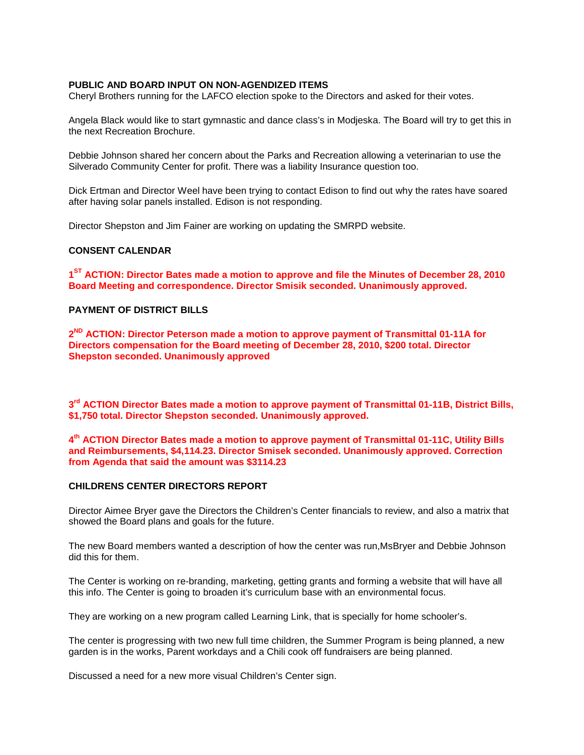### **PUBLIC AND BOARD INPUT ON NON-AGENDIZED ITEMS**

Cheryl Brothers running for the LAFCO election spoke to the Directors and asked for their votes.

Angela Black would like to start gymnastic and dance class's in Modjeska. The Board will try to get this in the next Recreation Brochure.

Debbie Johnson shared her concern about the Parks and Recreation allowing a veterinarian to use the Silverado Community Center for profit. There was a liability Insurance question too.

Dick Ertman and Director Weel have been trying to contact Edison to find out why the rates have soared after having solar panels installed. Edison is not responding.

Director Shepston and Jim Fainer are working on updating the SMRPD website.

#### **CONSENT CALENDAR**

**1ST ACTION: Director Bates made a motion to approve and file the Minutes of December 28, 2010 Board Meeting and correspondence. Director Smisik seconded. Unanimously approved.**

### **PAYMENT OF DISTRICT BILLS**

**2ND ACTION: Director Peterson made a motion to approve payment of Transmittal 01-11A for Directors compensation for the Board meeting of December 28, 2010, \$200 total. Director Shepston seconded. Unanimously approved**

**3rd ACTION Director Bates made a motion to approve payment of Transmittal 01-11B, District Bills, \$1,750 total. Director Shepston seconded. Unanimously approved.**

### **4th ACTION Director Bates made a motion to approve payment of Transmittal 01-11C, Utility Bills and Reimbursements, \$4,114.23. Director Smisek seconded. Unanimously approved. Correction from Agenda that said the amount was \$3114.23**

#### **CHILDRENS CENTER DIRECTORS REPORT**

Director Aimee Bryer gave the Directors the Children's Center financials to review, and also a matrix that showed the Board plans and goals for the future.

The new Board members wanted a description of how the center was run,MsBryer and Debbie Johnson did this for them.

The Center is working on re-branding, marketing, getting grants and forming a website that will have all this info. The Center is going to broaden it's curriculum base with an environmental focus.

They are working on a new program called Learning Link, that is specially for home schooler's.

The center is progressing with two new full time children, the Summer Program is being planned, a new garden is in the works, Parent workdays and a Chili cook off fundraisers are being planned.

Discussed a need for a new more visual Children's Center sign.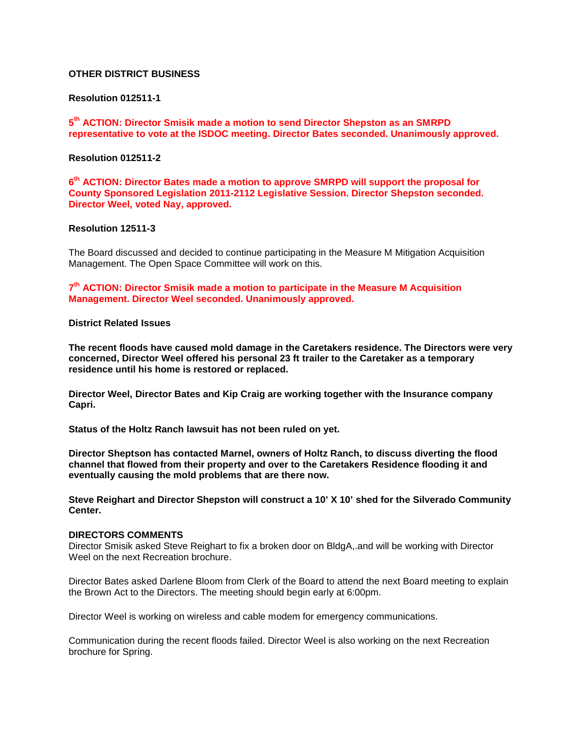### **OTHER DISTRICT BUSINESS**

### **Resolution 012511-1**

**5th ACTION: Director Smisik made a motion to send Director Shepston as an SMRPD representative to vote at the ISDOC meeting. Director Bates seconded. Unanimously approved.**

### **Resolution 012511-2**

**6th ACTION: Director Bates made a motion to approve SMRPD will support the proposal for County Sponsored Legislation 2011-2112 Legislative Session. Director Shepston seconded. Director Weel, voted Nay, approved.**

#### **Resolution 12511-3**

The Board discussed and decided to continue participating in the Measure M Mitigation Acquisition Management. The Open Space Committee will work on this.

**7th ACTION: Director Smisik made a motion to participate in the Measure M Acquisition Management. Director Weel seconded. Unanimously approved.**

#### **District Related Issues**

**The recent floods have caused mold damage in the Caretakers residence. The Directors were very concerned, Director Weel offered his personal 23 ft trailer to the Caretaker as a temporary residence until his home is restored or replaced.**

**Director Weel, Director Bates and Kip Craig are working together with the Insurance company Capri.**

**Status of the Holtz Ranch lawsuit has not been ruled on yet.** 

**Director Sheptson has contacted Marnel, owners of Holtz Ranch, to discuss diverting the flood channel that flowed from their property and over to the Caretakers Residence flooding it and eventually causing the mold problems that are there now.** 

**Steve Reighart and Director Shepston will construct a 10' X 10' shed for the Silverado Community Center.**

#### **DIRECTORS COMMENTS**

Director Smisik asked Steve Reighart to fix a broken door on BldgA,.and will be working with Director Weel on the next Recreation brochure.

Director Bates asked Darlene Bloom from Clerk of the Board to attend the next Board meeting to explain the Brown Act to the Directors. The meeting should begin early at 6:00pm.

Director Weel is working on wireless and cable modem for emergency communications.

Communication during the recent floods failed. Director Weel is also working on the next Recreation brochure for Spring.